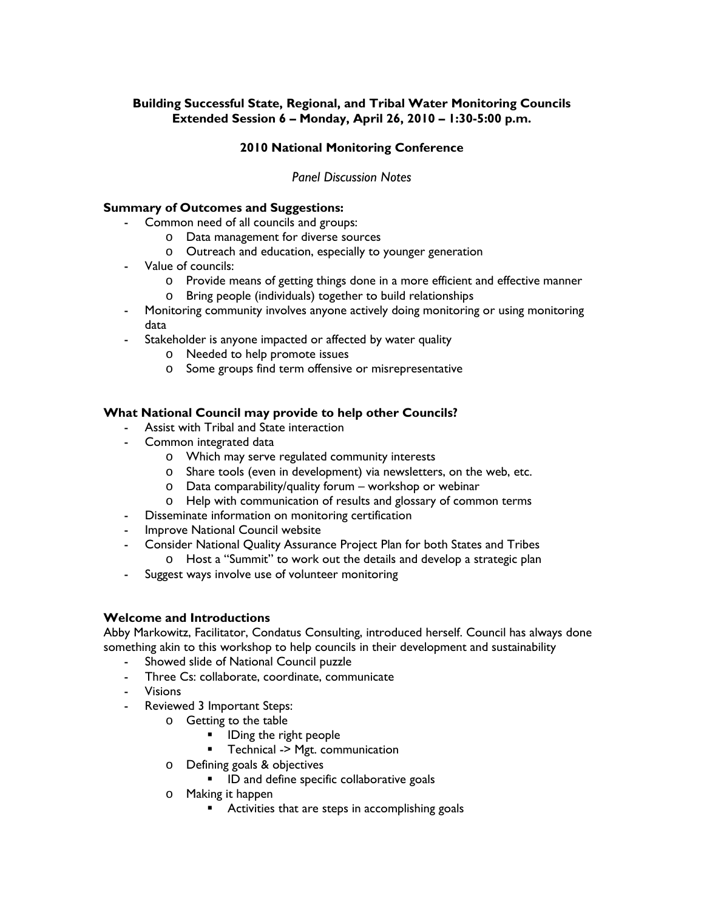## **Building Successful State, Regional, and Tribal Water Monitoring Councils Extended Session 6 – Monday, April 26, 2010 – 1:30-5:00 p.m.**

# **2010 National Monitoring Conference**

## *Panel Discussion Notes*

#### **Summary of Outcomes and Suggestions:**

- Common need of all councils and groups:
	- o Data management for diverse sources
	- o Outreach and education, especially to younger generation
- Value of councils:
	- o Provide means of getting things done in a more efficient and effective manner
	- o Bring people (individuals) together to build relationships
- Monitoring community involves anyone actively doing monitoring or using monitoring data
- Stakeholder is anyone impacted or affected by water quality
	- o Needed to help promote issues
	- o Some groups find term offensive or misrepresentative

#### **What National Council may provide to help other Councils?**

- Assist with Tribal and State interaction
- Common integrated data
	- o Which may serve regulated community interests
	- o Share tools (even in development) via newsletters, on the web, etc.
	- o Data comparability/quality forum workshop or webinar
	- o Help with communication of results and glossary of common terms
- Disseminate information on monitoring certification
- Improve National Council website
- Consider National Quality Assurance Project Plan for both States and Tribes
	- o Host a "Summit" to work out the details and develop a strategic plan
- Suggest ways involve use of volunteer monitoring

#### **Welcome and Introductions**

Abby Markowitz, Facilitator, Condatus Consulting, introduced herself. Council has always done something akin to this workshop to help councils in their development and sustainability

- Showed slide of National Council puzzle
- Three Cs: collaborate, coordinate, communicate
- Visions
- Reviewed 3 Important Steps:
	- o Getting to the table
		- **IDing the right people**
		- **Technical -> Mgt. communication**
	- o Defining goals & objectives
		- **ID and define specific collaborative goals**
	- o Making it happen
		- **Activities that are steps in accomplishing goals**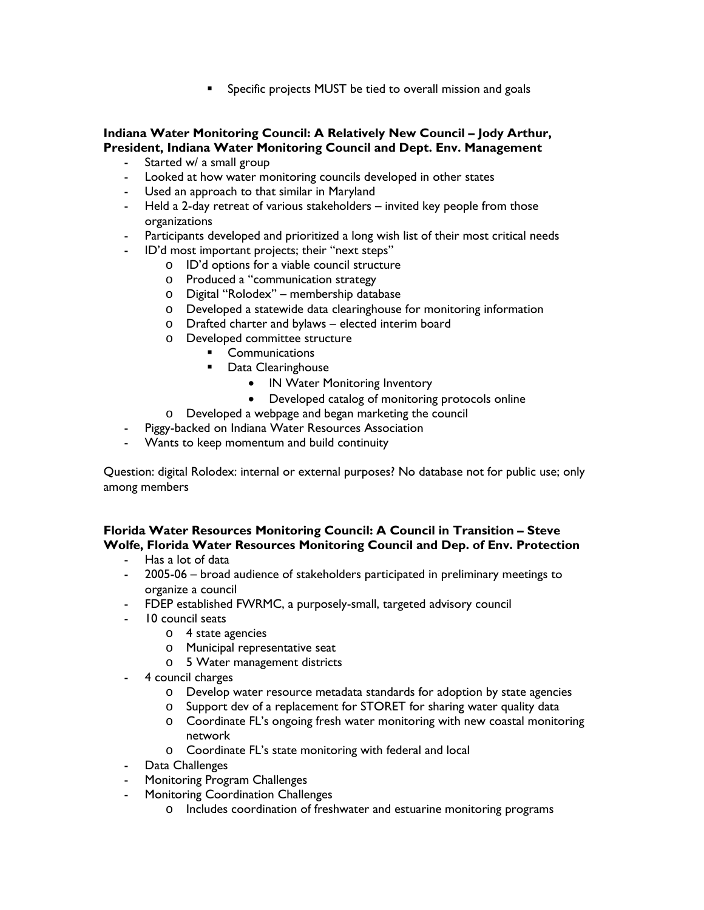**Specific projects MUST be tied to overall mission and goals** 

# **Indiana Water Monitoring Council: A Relatively New Council – Jody Arthur, President, Indiana Water Monitoring Council and Dept. Env. Management**

- Started w/ a small group
- Looked at how water monitoring councils developed in other states
- Used an approach to that similar in Maryland
- Held a 2-day retreat of various stakeholders invited key people from those organizations
- Participants developed and prioritized a long wish list of their most critical needs
- ID'd most important projects; their "next steps"
	- o ID'd options for a viable council structure
	- o Produced a "communication strategy
	- o Digital "Rolodex" membership database
	- o Developed a statewide data clearinghouse for monitoring information
	- o Drafted charter and bylaws elected interim board
	- o Developed committee structure
		- **•** Communications
		- **Data Clearinghouse** 
			- IN Water Monitoring Inventory
			- Developed catalog of monitoring protocols online
	- o Developed a webpage and began marketing the council
- Piggy-backed on Indiana Water Resources Association
- Wants to keep momentum and build continuity

Question: digital Rolodex: internal or external purposes? No database not for public use; only among members

**Florida Water Resources Monitoring Council: A Council in Transition – Steve Wolfe, Florida Water Resources Monitoring Council and Dep. of Env. Protection**

- Has a lot of data
- 2005-06 broad audience of stakeholders participated in preliminary meetings to organize a council
- FDEP established FWRMC, a purposely-small, targeted advisory council
- 10 council seats
	- o 4 state agencies
	- o Municipal representative seat
	- o 5 Water management districts
- 4 council charges
	- o Develop water resource metadata standards for adoption by state agencies
	- o Support dev of a replacement for STORET for sharing water quality data
	- o Coordinate FL's ongoing fresh water monitoring with new coastal monitoring network
	- o Coordinate FL's state monitoring with federal and local
- Data Challenges
- Monitoring Program Challenges
- Monitoring Coordination Challenges
	- o Includes coordination of freshwater and estuarine monitoring programs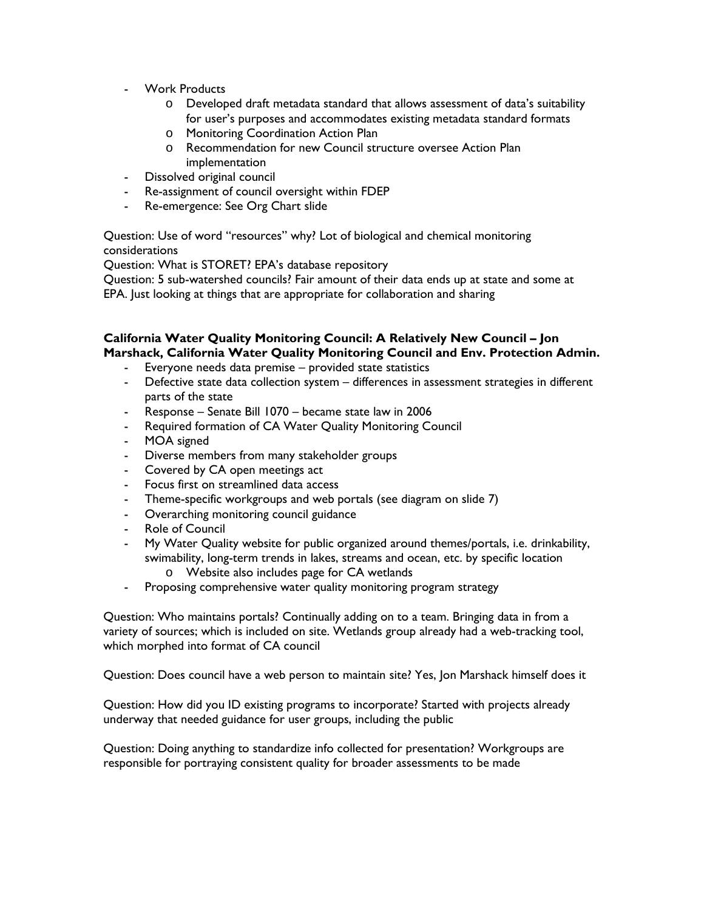- Work Products
	- o Developed draft metadata standard that allows assessment of data's suitability for user's purposes and accommodates existing metadata standard formats
	- o Monitoring Coordination Action Plan
	- o Recommendation for new Council structure oversee Action Plan implementation
- Dissolved original council
- Re-assignment of council oversight within FDEP
- Re-emergence: See Org Chart slide

Question: Use of word "resources" why? Lot of biological and chemical monitoring considerations

Question: What is STORET? EPA's database repository

Question: 5 sub-watershed councils? Fair amount of their data ends up at state and some at EPA. Just looking at things that are appropriate for collaboration and sharing

# **California Water Quality Monitoring Council: A Relatively New Council – Jon Marshack, California Water Quality Monitoring Council and Env. Protection Admin.**

- Everyone needs data premise provided state statistics
- Defective state data collection system differences in assessment strategies in different parts of the state
- Response Senate Bill 1070 became state law in 2006
- Required formation of CA Water Quality Monitoring Council
- MOA signed
- Diverse members from many stakeholder groups
- Covered by CA open meetings act
- Focus first on streamlined data access
- Theme-specific workgroups and web portals (see diagram on slide 7)
- Overarching monitoring council guidance
- Role of Council
- My Water Quality website for public organized around themes/portals, i.e. drinkability, swimability, long-term trends in lakes, streams and ocean, etc. by specific location o Website also includes page for CA wetlands
- Proposing comprehensive water quality monitoring program strategy

Question: Who maintains portals? Continually adding on to a team. Bringing data in from a variety of sources; which is included on site. Wetlands group already had a web-tracking tool, which morphed into format of CA council

Question: Does council have a web person to maintain site? Yes, Jon Marshack himself does it

Question: How did you ID existing programs to incorporate? Started with projects already underway that needed guidance for user groups, including the public

Question: Doing anything to standardize info collected for presentation? Workgroups are responsible for portraying consistent quality for broader assessments to be made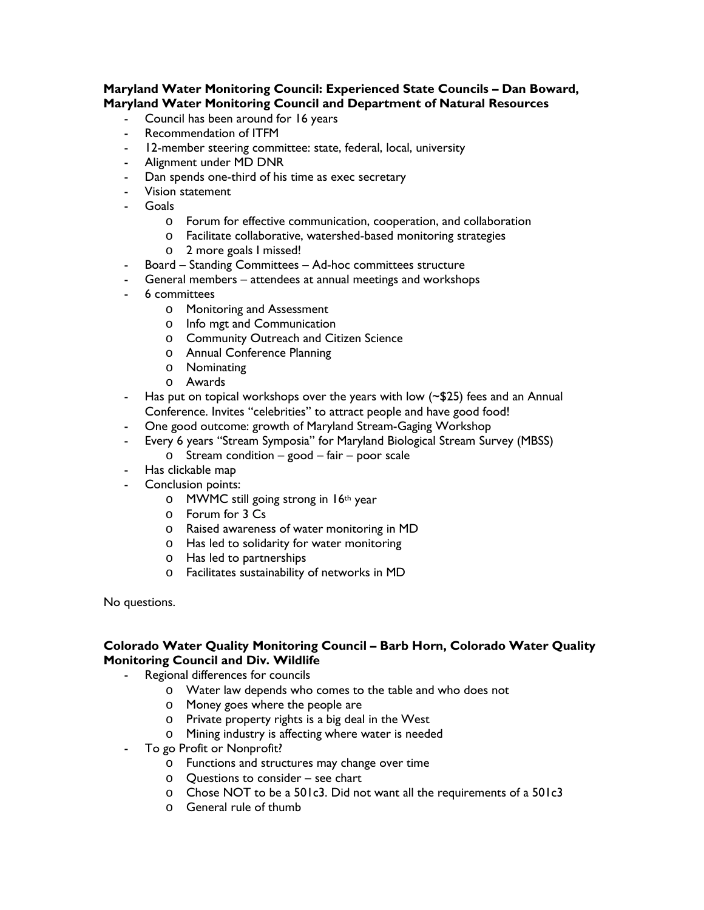## **Maryland Water Monitoring Council: Experienced State Councils – Dan Boward, Maryland Water Monitoring Council and Department of Natural Resources**

- Council has been around for 16 years
- Recommendation of ITFM
- 12-member steering committee: state, federal, local, university
- Alignment under MD DNR
- Dan spends one-third of his time as exec secretary
- Vision statement
- Goals
	- o Forum for effective communication, cooperation, and collaboration
	- o Facilitate collaborative, watershed-based monitoring strategies
	- o 2 more goals I missed!
- Board Standing Committees Ad-hoc committees structure
- General members attendees at annual meetings and workshops
- 6 committees
	- o Monitoring and Assessment
	- o Info mgt and Communication
	- o Community Outreach and Citizen Science
	- o Annual Conference Planning
	- o Nominating
	- o Awards
- Has put on topical workshops over the years with low (~\$25) fees and an Annual Conference. Invites "celebrities" to attract people and have good food!
- One good outcome: growth of Maryland Stream-Gaging Workshop
- Every 6 years "Stream Symposia" for Maryland Biological Stream Survey (MBSS)
	- $\circ$  Stream condition good fair poor scale
- Has clickable map
- Conclusion points:
	- o MWMC still going strong in 16th year
	- o Forum for 3 Cs
	- o Raised awareness of water monitoring in MD
	- o Has led to solidarity for water monitoring
	- o Has led to partnerships
	- o Facilitates sustainability of networks in MD

No questions.

#### **Colorado Water Quality Monitoring Council – Barb Horn, Colorado Water Quality Monitoring Council and Div. Wildlife**

- Regional differences for councils
	- o Water law depends who comes to the table and who does not
	- o Money goes where the people are
	- o Private property rights is a big deal in the West
	- o Mining industry is affecting where water is needed
- To go Profit or Nonprofit?
	- o Functions and structures may change over time
	- o Questions to consider see chart
	- o Chose NOT to be a 501c3. Did not want all the requirements of a 501c3
	- o General rule of thumb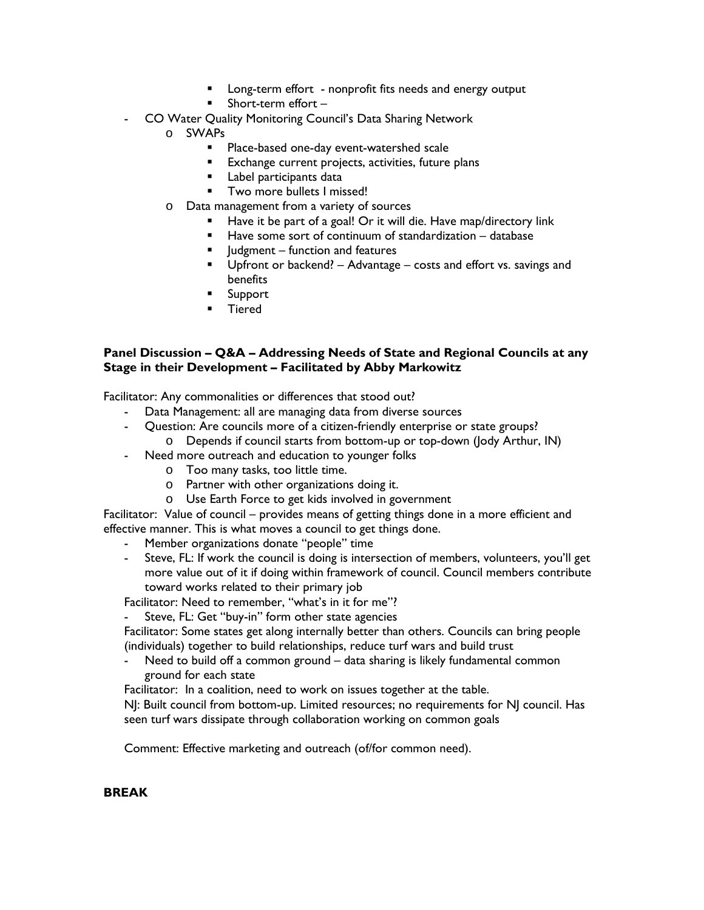- **Long-term effort** nonprofit fits needs and energy output
- **Short-term effort**
- CO Water Quality Monitoring Council's Data Sharing Network
	- o SWAPs
		- **Place-based one-day event-watershed scale**
		- **Exchange current projects, activities, future plans**
		- **Label participants data**
		- **Two more bullets I missed!**
	- o Data management from a variety of sources
		- Have it be part of a goal! Or it will die. Have map/directory link
		- Have some sort of continuum of standardization database
		- $\blacksquare$  Judgment function and features
		- **Upfront or backend?** Advantage costs and effort vs. savings and benefits
		- **Support**
		- **Tiered**

## **Panel Discussion – Q&A – Addressing Needs of State and Regional Councils at any Stage in their Development – Facilitated by Abby Markowitz**

Facilitator: Any commonalities or differences that stood out?

- Data Management: all are managing data from diverse sources
- Question: Are councils more of a citizen-friendly enterprise or state groups?
	- o Depends if council starts from bottom-up or top-down (Jody Arthur, IN)
- Need more outreach and education to younger folks
	- o Too many tasks, too little time.
	- o Partner with other organizations doing it.
	- o Use Earth Force to get kids involved in government

Facilitator: Value of council – provides means of getting things done in a more efficient and effective manner. This is what moves a council to get things done.

- Member organizations donate "people" time
- Steve, FL: If work the council is doing is intersection of members, volunteers, you'll get more value out of it if doing within framework of council. Council members contribute toward works related to their primary job

Facilitator: Need to remember, "what's in it for me"?

Steve, FL: Get "buy-in" form other state agencies

Facilitator: Some states get along internally better than others. Councils can bring people (individuals) together to build relationships, reduce turf wars and build trust

- Need to build off a common ground – data sharing is likely fundamental common ground for each state

Facilitator: In a coalition, need to work on issues together at the table.

NJ: Built council from bottom-up. Limited resources; no requirements for NJ council. Has seen turf wars dissipate through collaboration working on common goals

Comment: Effective marketing and outreach (of/for common need).

# **BREAK**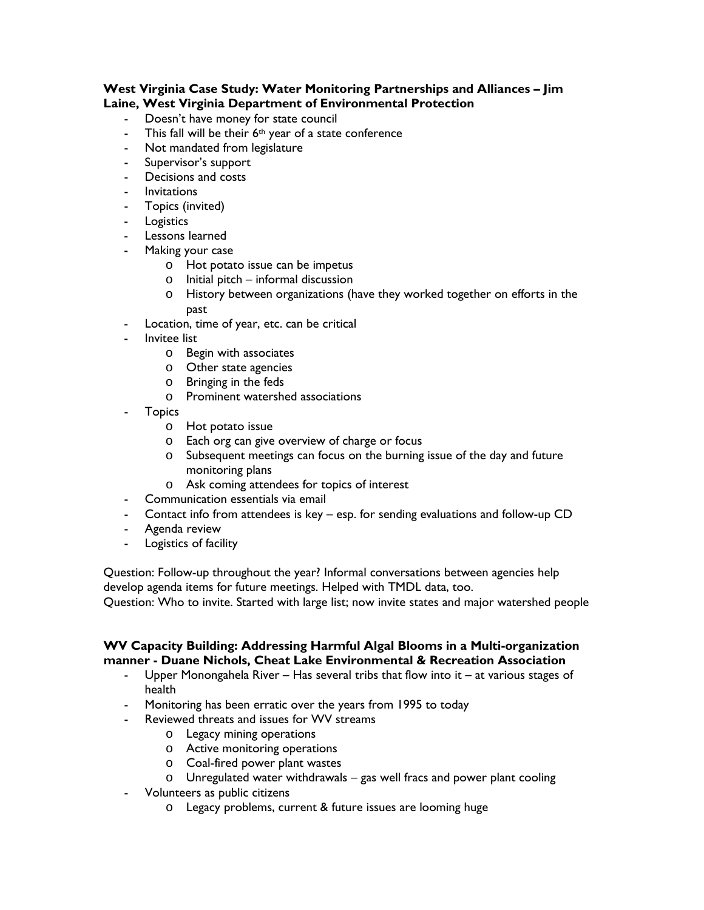### **West Virginia Case Study: Water Monitoring Partnerships and Alliances – Jim Laine, West Virginia Department of Environmental Protection**

- Doesn't have money for state council
- This fall will be their  $6<sup>th</sup>$  year of a state conference
- Not mandated from legislature
- Supervisor's support
- Decisions and costs
- Invitations
- Topics (invited)
- Logistics
- Lessons learned
- Making your case
	- o Hot potato issue can be impetus
	- o Initial pitch informal discussion
	- o History between organizations (have they worked together on efforts in the past
- Location, time of year, etc. can be critical
- Invitee list
	- o Begin with associates
	- o Other state agencies
	- o Bringing in the feds
	- o Prominent watershed associations
- **Topics** 
	- o Hot potato issue
	- o Each org can give overview of charge or focus
	- o Subsequent meetings can focus on the burning issue of the day and future monitoring plans
	- o Ask coming attendees for topics of interest
- Communication essentials via email
- Contact info from attendees is key esp. for sending evaluations and follow-up CD
- Agenda review
- Logistics of facility

Question: Follow-up throughout the year? Informal conversations between agencies help develop agenda items for future meetings. Helped with TMDL data, too.

Question: Who to invite. Started with large list; now invite states and major watershed people

## **WV Capacity Building: Addressing Harmful Algal Blooms in a Multi-organization manner - Duane Nichols, Cheat Lake Environmental & Recreation Association**

- Upper Monongahela River Has several tribs that flow into it at various stages of health
- Monitoring has been erratic over the years from 1995 to today
- Reviewed threats and issues for WV streams
	- o Legacy mining operations
	- o Active monitoring operations
	- o Coal-fired power plant wastes
	- o Unregulated water withdrawals gas well fracs and power plant cooling
- Volunteers as public citizens
	- o Legacy problems, current & future issues are looming huge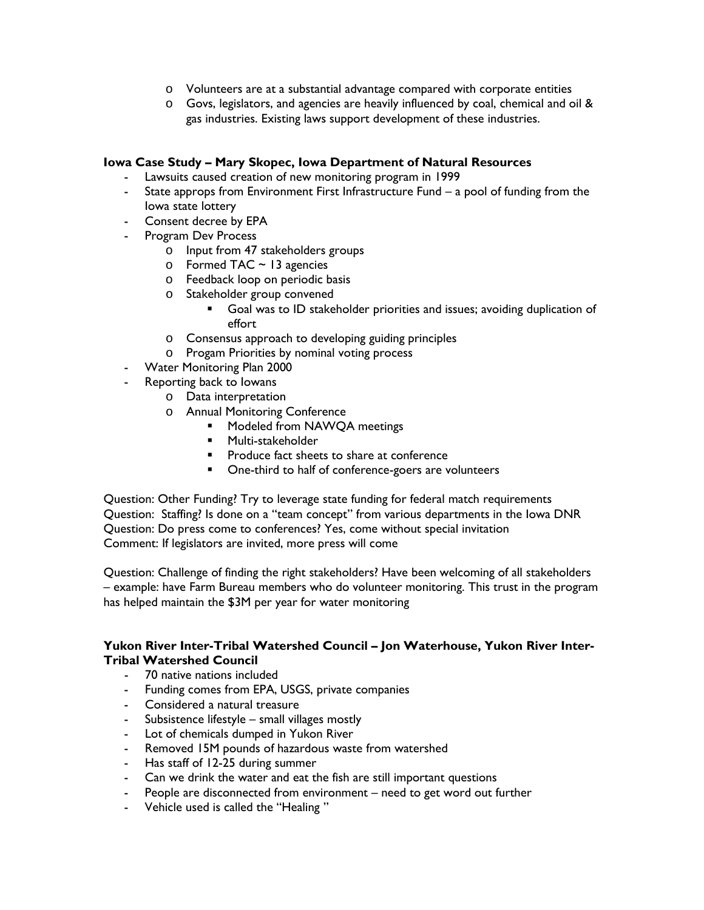- o Volunteers are at a substantial advantage compared with corporate entities
- o Govs, legislators, and agencies are heavily influenced by coal, chemical and oil & gas industries. Existing laws support development of these industries.

## **Iowa Case Study – Mary Skopec, Iowa Department of Natural Resources**

- Lawsuits caused creation of new monitoring program in 1999
- State approps from Environment First Infrastructure Fund a pool of funding from the Iowa state lottery
- Consent decree by EPA
- Program Dev Process
	- o Input from 47 stakeholders groups
	- $\circ$  Formed TAC ~ 13 agencies
	- o Feedback loop on periodic basis
	- o Stakeholder group convened
		- Goal was to ID stakeholder priorities and issues; avoiding duplication of effort
	- o Consensus approach to developing guiding principles
	- o Progam Priorities by nominal voting process
- Water Monitoring Plan 2000
- Reporting back to Iowans
	- o Data interpretation
		- o Annual Monitoring Conference
			- **•** Modeled from NAWQA meetings
			- **Multi-stakeholder**
			- **Produce fact sheets to share at conference**
			- **•** One-third to half of conference-goers are volunteers

Question: Other Funding? Try to leverage state funding for federal match requirements Question: Staffing? Is done on a "team concept" from various departments in the Iowa DNR Question: Do press come to conferences? Yes, come without special invitation Comment: If legislators are invited, more press will come

Question: Challenge of finding the right stakeholders? Have been welcoming of all stakeholders – example: have Farm Bureau members who do volunteer monitoring. This trust in the program has helped maintain the \$3M per year for water monitoring

#### **Yukon River Inter-Tribal Watershed Council – Jon Waterhouse, Yukon River Inter-Tribal Watershed Council**

- 70 native nations included
- Funding comes from EPA, USGS, private companies
- Considered a natural treasure
- Subsistence lifestyle small villages mostly
- Lot of chemicals dumped in Yukon River
- Removed 15M pounds of hazardous waste from watershed
- Has staff of 12-25 during summer
- Can we drink the water and eat the fish are still important questions
- People are disconnected from environment need to get word out further
- Vehicle used is called the "Healing "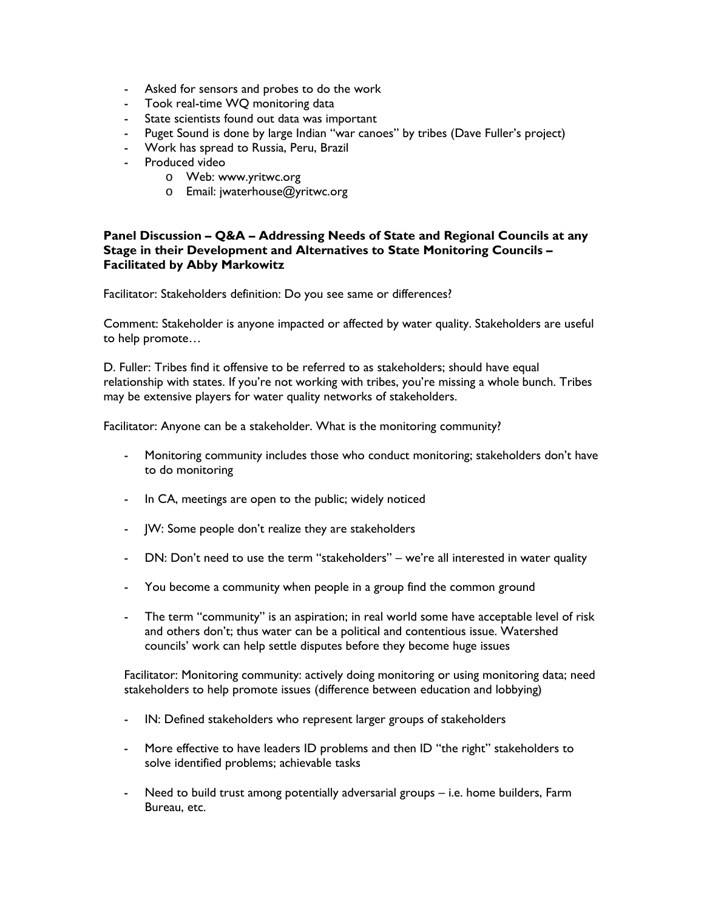- Asked for sensors and probes to do the work
- Took real-time WQ monitoring data
- State scientists found out data was important
- Puget Sound is done by large Indian "war canoes" by tribes (Dave Fuller's project)
- Work has spread to Russia, Peru, Brazil
- Produced video
	- o Web: www.yritwc.org
	- o Email: jwaterhouse@yritwc.org

#### **Panel Discussion – Q&A – Addressing Needs of State and Regional Councils at any Stage in their Development and Alternatives to State Monitoring Councils – Facilitated by Abby Markowitz**

Facilitator: Stakeholders definition: Do you see same or differences?

Comment: Stakeholder is anyone impacted or affected by water quality. Stakeholders are useful to help promote…

D. Fuller: Tribes find it offensive to be referred to as stakeholders; should have equal relationship with states. If you're not working with tribes, you're missing a whole bunch. Tribes may be extensive players for water quality networks of stakeholders.

Facilitator: Anyone can be a stakeholder. What is the monitoring community?

- Monitoring community includes those who conduct monitoring; stakeholders don't have to do monitoring
- In CA, meetings are open to the public; widely noticed
- JW: Some people don't realize they are stakeholders
- DN: Don't need to use the term "stakeholders" we're all interested in water quality
- You become a community when people in a group find the common ground
- The term "community" is an aspiration; in real world some have acceptable level of risk and others don't; thus water can be a political and contentious issue. Watershed councils' work can help settle disputes before they become huge issues

Facilitator: Monitoring community: actively doing monitoring or using monitoring data; need stakeholders to help promote issues (difference between education and lobbying)

- IN: Defined stakeholders who represent larger groups of stakeholders
- More effective to have leaders ID problems and then ID "the right" stakeholders to solve identified problems; achievable tasks
- Need to build trust among potentially adversarial groups i.e. home builders, Farm Bureau, etc.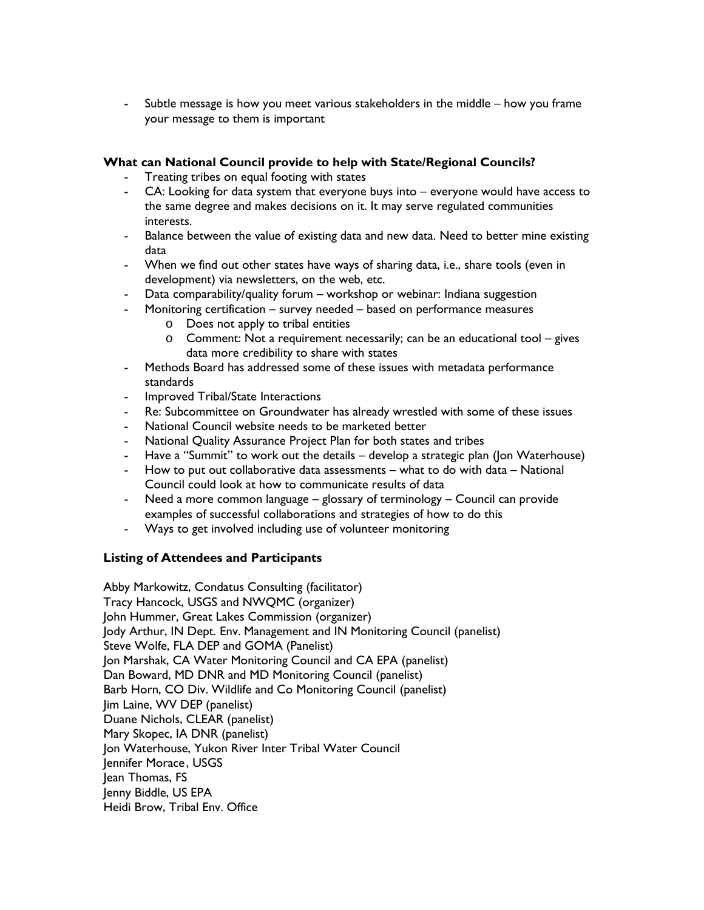- Subtle message is how you meet various stakeholders in the middle – how you frame your message to them is important

## **What can National Council provide to help with State/Regional Councils?**

- Treating tribes on equal footing with states
- CA: Looking for data system that everyone buys into everyone would have access to the same degree and makes decisions on it. It may serve regulated communities interests.
- Balance between the value of existing data and new data. Need to better mine existing data
- When we find out other states have ways of sharing data, i.e., share tools (even in development) via newsletters, on the web, etc.
- Data comparability/quality forum workshop or webinar: Indiana suggestion
- Monitoring certification survey needed based on performance measures
	- o Does not apply to tribal entities
	- o Comment: Not a requirement necessarily; can be an educational tool gives data more credibility to share with states
- Methods Board has addressed some of these issues with metadata performance standards
- Improved Tribal/State Interactions
- Re: Subcommittee on Groundwater has already wrestled with some of these issues
- National Council website needs to be marketed better
- National Quality Assurance Project Plan for both states and tribes
- Have a "Summit" to work out the details develop a strategic plan (Jon Waterhouse)
- How to put out collaborative data assessments what to do with data National Council could look at how to communicate results of data
- Need a more common language glossary of terminology Council can provide examples of successful collaborations and strategies of how to do this
- Ways to get involved including use of volunteer monitoring

# **Listing of Attendees and Participants**

Abby Markowitz, Condatus Consulting (facilitator) Tracy Hancock, USGS and NWQMC (organizer) John Hummer, Great Lakes Commission (organizer) Jody Arthur, IN Dept. Env. Management and IN Monitoring Council (panelist) Steve Wolfe, FLA DEP and GOMA (Panelist) Jon Marshak, CA Water Monitoring Council and CA EPA (panelist) Dan Boward, MD DNR and MD Monitoring Council (panelist) Barb Horn, CO Div. Wildlife and Co Monitoring Council (panelist) Jim Laine, WV DEP (panelist) Duane Nichols, CLEAR (panelist) Mary Skopec, IA DNR (panelist) Jon Waterhouse, Yukon River Inter Tribal Water Council Jennifer Morace, USGS Jean Thomas, FS Jenny Biddle, US EPA Heidi Brow, Tribal Env. Office